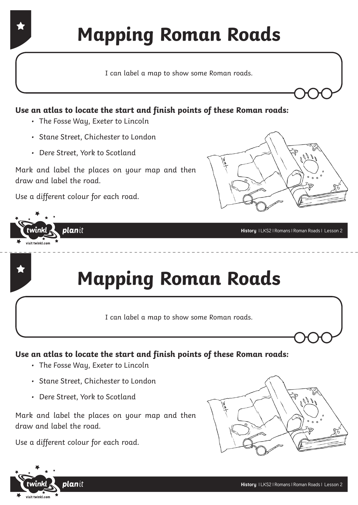## **Mapping Roman Roads**

I can label a map to show some Roman roads.

### **Use an atlas to locate the start and finish points of these Roman roads:**

- The Fosse Way, Exeter to Lincoln
- Stane Street, Chichester to London
- Dere Street, York to Scotland

Mark and label the places on your map and then draw and label the road.

Use a different colour for each road.

planit

twinkl  $\overline{\phantom{a}}$  visit twinkl.com



**History** | LKS2 | Romans | Roman Roads | Lesson 2

### **Mapping Roman Roads**

I can label a map to show some Roman roads.

### **Use an atlas to locate the start and finish points of these Roman roads:**

- The Fosse Way, Exeter to Lincoln
- Stane Street, Chichester to London
- Dere Street, York to Scotland

Mark and label the places on your map and then draw and label the road.

Use a different colour for each road.



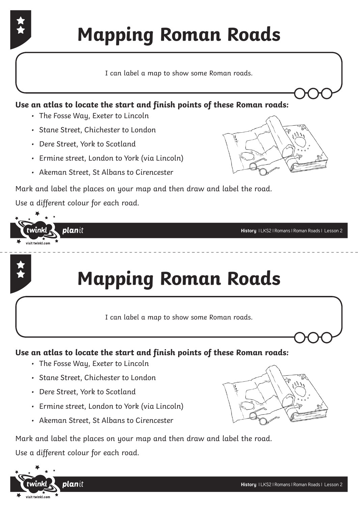# **Mapping Roman Roads**

I can label a map to show some Roman roads.

#### **Use an atlas to locate the start and finish points of these Roman roads:**

- The Fosse Way, Exeter to Lincoln
- Stane Street, Chichester to London
- Dere Street, York to Scotland
- Ermine street, London to York (via Lincoln)
- Akeman Street, St Albans to Cirencester



Mark and label the places on your map and then draw and label the road. Use a different colour for each road.



### **Mapping Roman Roads**

I can label a map to show some Roman roads.

#### **Use an atlas to locate the start and finish points of these Roman roads:**

- The Fosse Way, Exeter to Lincoln
- Stane Street, Chichester to London
- Dere Street, York to Scotland
- Ermine street, London to York (via Lincoln)
- Akeman Street, St Albans to Cirencester

Mark and label the places on your map and then draw and label the road. Use a different colour for each road.